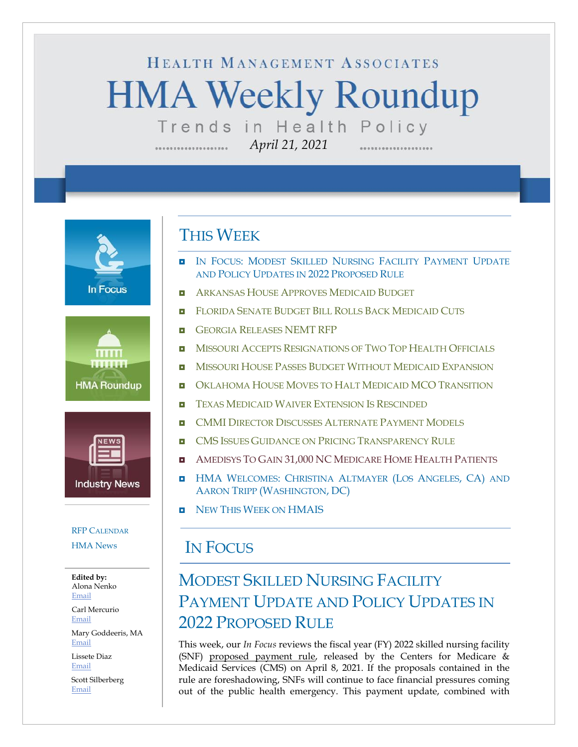# HEALTH MANAGEMENT ASSOCIATES **HMA Weekly Roundup** Trends in Health Policy

*April 21, 2021*

**In Focus** 





### RFP C[ALENDAR](#page-9-0)

[HMA News](#page-13-0)

**Edited by:** Alona Nenko [Email](mailto:anenko@healthmanagement.com)

Carl Mercurio [Email](mailto:cmercurio@healthmanagement.com)

Mary Goddeeris, MA [Email](mailto:mgoddeeris@healthmanagement.com)

Lissete Diaz [Email](mailto:ldiaz@healthmanagement.com)

Scott Silberberg [Email](mailto:ssilberberg@healthmanagement.com)

# THIS WEEK

- **IN FOCUS: MODEST SKILLED NURSING FACILITY PAYMENT UPDATE** AND POLICY UPDATES IN 2022 PROPOSED RULE
- **A[RKANSAS](#page-3-0) HOUSE APPROVES MEDICAID BUDGET**
- **E** FLORIDA SENATE BUDGET BILL ROLLS BACK M[EDICAID](#page-3-1) CUTS
- **GEORGIA R[ELEASES](#page-3-2) NEMT RFP**
- **NISSOURI ACCEPTS R[ESIGNATIONS OF](#page-4-0) TWO TOP HEALTH OFFICIALS**
- **n** Missouri House Passes Budget Without Medicaid Expansion
- **OKLAHOMA HOUSE MOVES TO HALT MEDICAID MCO T[RANSITION](#page-5-0)**
- $\blacksquare$  TEXAS MEDICAID WAIVER E[XTENSION](#page-5-1) IS RESCINDED
- **D** CMMI DIRECTOR DISCUSSES A[LTERNATE](#page-6-0) PAYMENT MODELS
- **E** CMS ISSUES GUIDANCE ON PRICING T[RANSPARENCY](#page-6-0) RULE
- **AMEDISYS TO GAIN 31,000 NC M[EDICARE](#page-8-0) HOME HEALTH PATIENTS**
- **HMA WELCOMES: C[HRISTINA](#page-11-0) ALTMAYER (LOS ANGELES, CA) AND** AARON TRIPP (W[ASHINGTON](#page-11-0), DC)
- **D** NEW THIS WEEK ON [HMAIS](#page-13-0)

# IN FOCUS

# MODEST SKILLED NURSING FACILITY PAYMENT UPDATE AND POLICY UPDATES IN 2022 PROPOSED RULE

This week, our *In Focus* reviews the fiscal year (FY) 2022 skilled nursing facility (SNF) [proposed payment rule,](https://www.federalregister.gov/d/2021-07556) released by the Centers for Medicare & Medicaid Services (CMS) on April 8, 2021. If the proposals contained in the rule are foreshadowing, SNFs will continue to face financial pressures coming out of the public health emergency. This payment update, combined with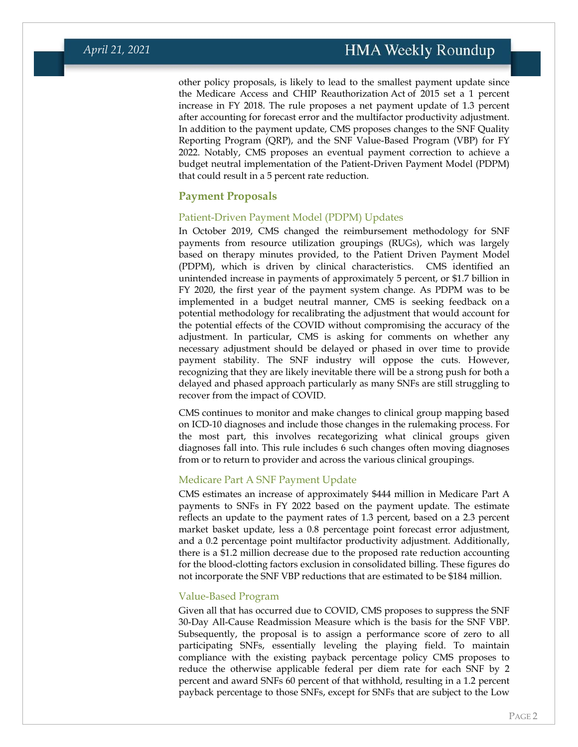other policy proposals, is likely to lead to the smallest payment update since the Medicare Access and CHIP Reauthorization Act of 2015 set a 1 percent increase in FY 2018. The rule proposes a net payment update of 1.3 percent after accounting for forecast error and the multifactor productivity adjustment. In addition to the payment update, CMS proposes changes to the SNF Quality Reporting Program (QRP), and the SNF Value-Based Program (VBP) for FY 2022. Notably, CMS proposes an eventual payment correction to achieve a budget neutral implementation of the Patient-Driven Payment Model (PDPM) that could result in a 5 percent rate reduction.

### **Payment Proposals**

### Patient-Driven Payment Model (PDPM) Updates

In October 2019, CMS changed the reimbursement methodology for SNF payments from resource utilization groupings (RUGs), which was largely based on therapy minutes provided, to the Patient Driven Payment Model (PDPM), which is driven by clinical characteristics. CMS identified an unintended increase in payments of approximately 5 percent, or \$1.7 billion in FY 2020, the first year of the payment system change. As PDPM was to be implemented in a budget neutral manner, CMS is seeking feedback on a potential methodology for recalibrating the adjustment that would account for the potential effects of the COVID without compromising the accuracy of the adjustment. In particular, CMS is asking for comments on whether any necessary adjustment should be delayed or phased in over time to provide payment stability. The SNF industry will oppose the cuts. However, recognizing that they are likely inevitable there will be a strong push for both a delayed and phased approach particularly as many SNFs are still struggling to recover from the impact of COVID.

CMS continues to monitor and make changes to clinical group mapping based on ICD-10 diagnoses and include those changes in the rulemaking process. For the most part, this involves recategorizing what clinical groups given diagnoses fall into. This rule includes 6 such changes often moving diagnoses from or to return to provider and across the various clinical groupings.

### Medicare Part A SNF Payment Update

CMS estimates an increase of approximately \$444 million in Medicare Part A payments to SNFs in FY 2022 based on the payment update. The estimate reflects an update to the payment rates of 1.3 percent, based on a 2.3 percent market basket update, less a 0.8 percentage point forecast error adjustment, and a 0.2 percentage point multifactor productivity adjustment. Additionally, there is a \$1.2 million decrease due to the proposed rate reduction accounting for the blood-clotting factors exclusion in consolidated billing. These figures do not incorporate the SNF VBP reductions that are estimated to be \$184 million.

### Value-Based Program

Given all that has occurred due to COVID, CMS proposes to suppress the SNF 30-Day All-Cause Readmission Measure which is the basis for the SNF VBP. Subsequently, the proposal is to assign a performance score of zero to all participating SNFs, essentially leveling the playing field. To maintain compliance with the existing payback percentage policy CMS proposes to reduce the otherwise applicable federal per diem rate for each SNF by 2 percent and award SNFs 60 percent of that withhold, resulting in a 1.2 percent payback percentage to those SNFs, except for SNFs that are subject to the Low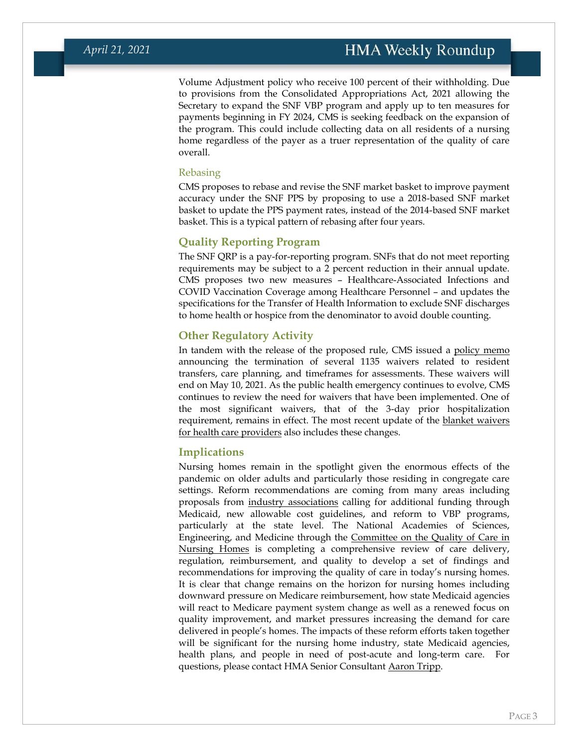Volume Adjustment policy who receive 100 percent of their withholding. Due to provisions from the Consolidated Appropriations Act, 2021 allowing the Secretary to expand the SNF VBP program and apply up to ten measures for payments beginning in FY 2024, CMS is seeking feedback on the expansion of the program. This could include collecting data on all residents of a nursing home regardless of the payer as a truer representation of the quality of care overall.

#### Rebasing

CMS proposes to rebase and revise the SNF market basket to improve payment accuracy under the SNF PPS by proposing to use a 2018-based SNF market basket to update the PPS payment rates, instead of the 2014-based SNF market basket. This is a typical pattern of rebasing after four years.

### **Quality Reporting Program**

The SNF QRP is a pay-for-reporting program. SNFs that do not meet reporting requirements may be subject to a 2 percent reduction in their annual update. CMS proposes two new measures – Healthcare-Associated Infections and COVID Vaccination Coverage among Healthcare Personnel – and updates the specifications for the Transfer of Health Information to exclude SNF discharges to home health or hospice from the denominator to avoid double counting.

### **Other Regulatory Activity**

In tandem with the release of the proposed rule, CMS issued a [policy memo](https://www.cms.gov/files/document/qso-21-17-nh.pdf) announcing the termination of several 1135 waivers related to resident transfers, care planning, and timeframes for assessments. These waivers will end on May 10, 2021. As the public health emergency continues to evolve, CMS continues to review the need for waivers that have been implemented. One of the most significant waivers, that of the 3-day prior hospitalization requirement, remains in effect. The most recent update of the **blanket waivers** [for health care providers](https://www.cms.gov/files/document/summary-covid-19-emergency-declaration-waivers.pdf) also includes these changes.

### **Implications**

Nursing homes remain in the spotlight given the enormous effects of the pandemic on older adults and particularly those residing in congregate care settings. Reform recommendations are coming from many areas including proposals from [industry associations](https://leadingage.org/sites/default/files/Overview%20-%20Care%20for%20Our%20Seniors%20Act.pdf) calling for additional funding through Medicaid, new allowable cost guidelines, and reform to VBP programs, particularly at the state level. The National Academies of Sciences, Engineering, and Medicine through the [Committee on the Quality of Care in](https://www.nationalacademies.org/our-work/the-quality-of-care-in-nursing-homes)  [Nursing Homes](https://www.nationalacademies.org/our-work/the-quality-of-care-in-nursing-homes) is completing a comprehensive review of care delivery, regulation, reimbursement, and quality to develop a set of findings and recommendations for improving the quality of care in today's nursing homes. It is clear that change remains on the horizon for nursing homes including downward pressure on Medicare reimbursement, how state Medicaid agencies will react to Medicare payment system change as well as a renewed focus on quality improvement, and market pressures increasing the demand for care delivered in people's homes. The impacts of these reform efforts taken together will be significant for the nursing home industry, state Medicaid agencies, health plans, and people in need of post-acute and long-term care. For questions, please contact HMA Senior Consultant [Aaron Tripp.](mailto:atripp@healthmanagement.com)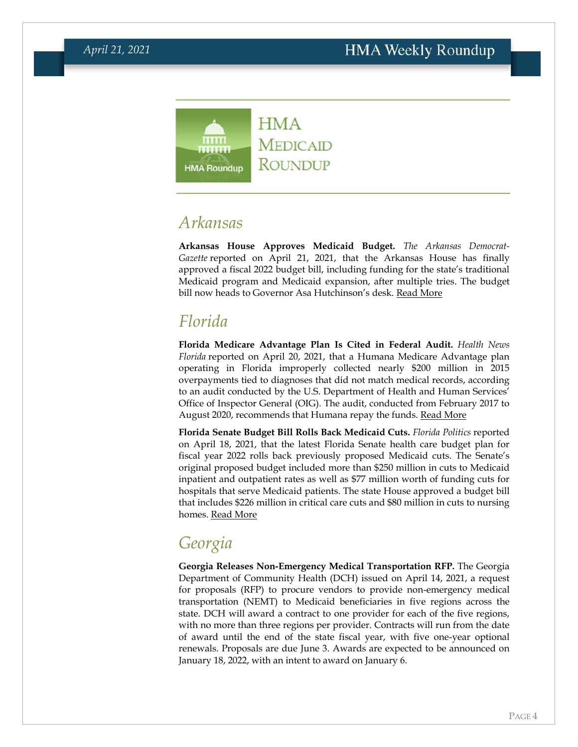

# <span id="page-3-0"></span>*Arkansas*

**Arkansas House Approves Medicaid Budget.** *The Arkansas Democrat-Gazette* reported on April 21, 2021, that the Arkansas House has finally approved a fiscal 2022 budget bill, including funding for the state's traditional Medicaid program and Medicaid expansion, after multiple tries. The budget bill now heads to Governor Asa Hutchinson's desk. [Read More](https://www.arkansasonline.com/news/2021/apr/21/medicaid-funding-gains-houses-ok/)

# <span id="page-3-1"></span>*Florida*

**Florida Medicare Advantage Plan Is Cited in Federal Audit.** *Health News Florida* reported on April 20, 2021, that a Humana Medicare Advantage plan operating in Florida improperly collected nearly \$200 million in 2015 overpayments tied to diagnoses that did not match medical records, according to an audit conducted by the U.S. Department of Health and Human Services' Office of Inspector General (OIG). The audit, conducted from February 2017 to August 2020, recommends that Humana repay the funds. [Read More](https://health.wusf.usf.edu/npr-health/2021-04-20/humana-inc-overcharged-medicare-nearly-200-million-federal-audit-finds)

**Florida Senate Budget Bill Rolls Back Medicaid Cuts.** *Florida Politics* reported on April 18, 2021, that the latest Florida Senate health care budget plan for fiscal year 2022 rolls back previously proposed Medicaid cuts. The Senate's original proposed budget included more than \$250 million in cuts to Medicaid inpatient and outpatient rates as well as \$77 million worth of funding cuts for hospitals that serve Medicaid patients. The state House approved a budget bill that includes \$226 million in critical care cuts and \$80 million in cuts to nursing homes. [Read More](https://floridapolitics.com/archives/421316-senate-rolls-back-medicaid-cuts-in-first-health-care-budget-offer/)

# <span id="page-3-2"></span>*Georgia*

**Georgia Releases Non-Emergency Medical Transportation RFP.** The Georgia Department of Community Health (DCH) issued on April 14, 2021, a request for proposals (RFP) to procure vendors to provide non-emergency medical transportation (NEMT) to Medicaid beneficiaries in five regions across the state. DCH will award a contract to one provider for each of the five regions, with no more than three regions per provider. Contracts will run from the date of award until the end of the state fiscal year, with five one-year optional renewals. Proposals are due June 3. Awards are expected to be announced on January 18, 2022, with an intent to award on January 6.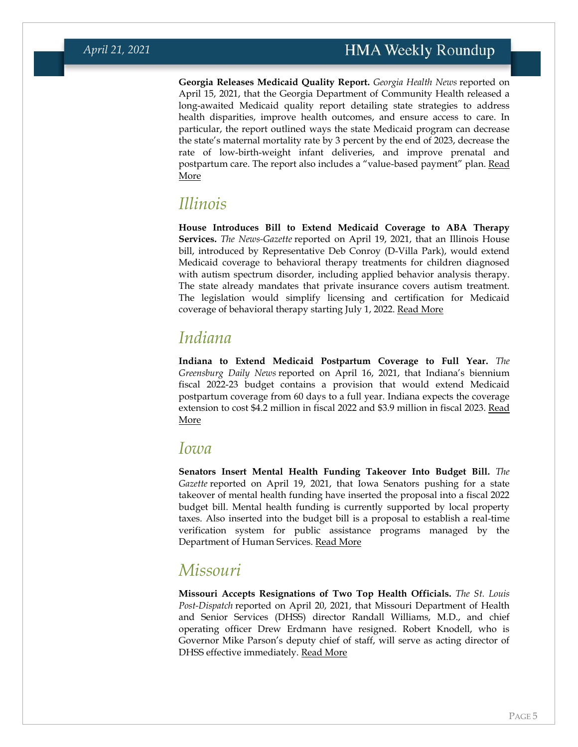**Georgia Releases Medicaid Quality Report.** *Georgia Health News* reported on April 15, 2021, that the Georgia Department of Community Health released a long-awaited Medicaid quality report detailing state strategies to address health disparities, improve health outcomes, and ensure access to care. In particular, the report outlined ways the state Medicaid program can decrease the state's maternal mortality rate by 3 percent by the end of 2023, decrease the rate of low-birth-weight infant deliveries, and improve prenatal and postpartum care. The report also includes a "value-based payment" plan. Read [More](https://www.georgiahealthnews.com/2021/04/long-delayed-medicaid-report-outlines-ambitious-strategies/)

### *Illinois*

**House Introduces Bill to Extend Medicaid Coverage to ABA Therapy Services.** *The News-Gazette* reported on April 19, 2021, that an Illinois House bill, introduced by Representative Deb Conroy (D-Villa Park), would extend Medicaid coverage to behavioral therapy treatments for children diagnosed with autism spectrum disorder, including applied behavior analysis therapy. The state already mandates that private insurance covers autism treatment. The legislation would simplify licensing and certification for Medicaid coverage of behavioral therapy starting July 1, 2022. [Read More](https://www.news-gazette.com/news/house-bill-would-free-up-medicaid-spending-for-autism-treatment/article_5fa64f1e-e4a8-51fa-8a0d-67b99d4a40a9.html)

# *Indiana*

**Indiana to Extend Medicaid Postpartum Coverage to Full Year.** *The Greensburg Daily News* reported on April 16, 2021, that Indiana's biennium fiscal 2022-23 budget contains a provision that would extend Medicaid postpartum coverage from 60 days to a full year. Indiana expects the coverage extension to cost \$4.2 million in fiscal 2022 and \$3.9 million in fiscal 2023. [Read](https://www.greensburgdailynews.com/news/around_indiana/indiana-budget-expands-medicaid-coverage-for-new-mothers/article_5a7704d8-9ecf-11eb-8615-a32b0f21a082.html)  [More](https://www.greensburgdailynews.com/news/around_indiana/indiana-budget-expands-medicaid-coverage-for-new-mothers/article_5a7704d8-9ecf-11eb-8615-a32b0f21a082.html)

### *Iowa*

**Senators Insert Mental Health Funding Takeover Into Budget Bill.** *The Gazette* reported on April 19, 2021, that Iowa Senators pushing for a state takeover of mental health funding have inserted the proposal into a fiscal 2022 budget bill. Mental health funding is currently supported by local property taxes. Also inserted into the budget bill is a proposal to establish a real-time verification system for public assistance programs managed by the Department of Human Services. [Read More](https://www.thegazette.com/government-politics/budget-bill-highlights-iowa-gop-differences/)

# <span id="page-4-0"></span>*Missouri*

**Missouri Accepts Resignations of Two Top Health Officials.** *The St. Louis Post-Dispatch* reported on April 20, 2021, that Missouri Department of Health and Senior Services (DHSS) director Randall Williams, M.D., and chief operating officer Drew Erdmann have resigned. Robert Knodell, who is Governor Mike Parson's deputy chief of staff, will serve as acting director of DHSS effective immediately. [Read More](https://www.stltoday.com/news/local/govt-and-politics/state-health-director-coo-out-amid-shake-up-in-missouri-governor-s-office/article_029ec88e-62af-52da-82ac-9b1e41f137d6.html)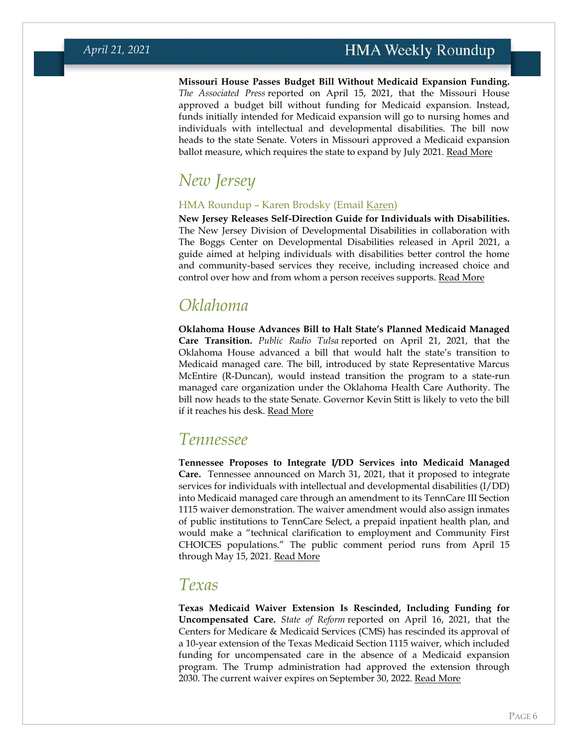**Missouri House Passes Budget Bill Without Medicaid Expansion Funding.**  *The Associated Press* reported on April 15, 2021, that the Missouri House approved a budget bill without funding for Medicaid expansion. Instead, funds initially intended for Medicaid expansion will go to nursing homes and individuals with intellectual and developmental disabilities. The bill now heads to the state Senate. Voters in Missouri approved a Medicaid expansion ballot measure, which requires the state to expand by July 2021. [Read More](https://apnews.com/article/health-columbia-medicaid-constitutions-michael-brown-d2b1c51a510fa42dedca75cba29995be)

# *New Jersey*

### HMA Roundup – Karen Brodsky (Email [Karen\)](mailto:kbrodsky@healthmanagement.com)

**New Jersey Releases Self-Direction Guide for Individuals with Disabilities.**  The New Jersey Division of Developmental Disabilities in collaboration with The Boggs Center on Developmental Disabilities released in April 2021, a guide aimed at helping individuals with disabilities better control the home and community-based services they receive, including increased choice and control over how and from whom a person receives supports. <u>[Read More](https://www.nj.gov/humanservices/ddd/documents/understanding-self-directed-services-and-role-of-supports-broker.pdf)</u>

# <span id="page-5-0"></span>*Oklahoma*

**Oklahoma House Advances Bill to Halt State's Planned Medicaid Managed Care Transition.** *Public Radio Tulsa* reported on April 21, 2021, that the Oklahoma House advanced a bill that would halt the state's transition to Medicaid managed care. The bill, introduced by state Representative Marcus McEntire (R-Duncan), would instead transition the program to a state-run managed care organization under the Oklahoma Health Care Authority. The bill now heads to the state Senate. Governor Kevin Stitt is likely to veto the bill if it reaches his desk. [Read More](https://www.publicradiotulsa.org/post/house-sends-senate-bill-stop-stitts-plan-medicaid-managed-care#stream/0)

### *Tennessee*

**Tennessee Proposes to Integrate I/DD Services into Medicaid Managed Care.** Tennessee announced on March 31, 2021, that it proposed to integrate services for individuals with intellectual and developmental disabilities (I/DD) into Medicaid managed care through an amendment to its TennCare III Section 1115 waiver demonstration. The waiver amendment would also assign inmates of public institutions to TennCare Select, a prepaid inpatient health plan, and would make a "technical clarification to employment and Community First CHOICES populations." The public comment period runs from April 15 through May 15, 2021. [Read More](https://content.govdelivery.com/accounts/USCMSMEDICAID/bulletins/2cd2c06)

### <span id="page-5-1"></span>*Texas*

**Texas Medicaid Waiver Extension Is Rescinded, Including Funding for Uncompensated Care.** *State of Reform* reported on April 16, 2021, that the Centers for Medicare & Medicaid Services (CMS) has rescinded its approval of a 10-year extension of the Texas Medicaid Section 1115 waiver, which included funding for uncompensated care in the absence of a Medicaid expansion program. The Trump administration had approved the extension through 2030. The current waiver expires on September 30, 2022. [Read More](https://stateofreform.com/featured/2021/04/cms-rescinds-texas-1115-waiver/)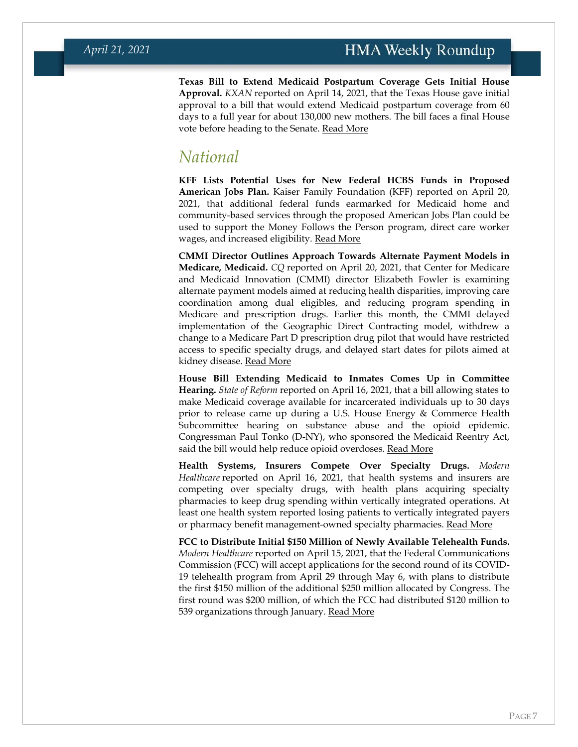**Texas Bill to Extend Medicaid Postpartum Coverage Gets Initial House Approval.** *KXAN* reported on April 14, 2021, that the Texas House gave initial approval to a bill that would extend Medicaid postpartum coverage from 60 days to a full year for about 130,000 new mothers. The bill faces a final House vote before heading to the Senate. [Read More](https://www.kxan.com/news/texas-politics/texas-house-approves-expanding-medicaid-coverage-for-new-moms-to-1-full-year-after-giving-birth/)

# <span id="page-6-0"></span>*National*

**KFF Lists Potential Uses for New Federal HCBS Funds in Proposed American Jobs Plan.** Kaiser Family Foundation (KFF) reported on April 20, 2021, that additional federal funds earmarked for Medicaid home and community-based services through the proposed American Jobs Plan could be used to support the Money Follows the Person program, direct care worker wages, and increased eligibility. [Read More](https://www.kff.org/medicaid/issue-brief/how-could-400-billion-new-federal-dollars-change-medicaid-home-and-community-based-services/)

**CMMI Director Outlines Approach Towards Alternate Payment Models in Medicare, Medicaid.** *CQ* reported on April 20, 2021, that Center for Medicare and Medicaid Innovation (CMMI) director Elizabeth Fowler is examining alternate payment models aimed at reducing health disparities, improving care coordination among dual eligibles, and reducing program spending in Medicare and prescription drugs. Earlier this month, the CMMI delayed implementation of the Geographic Direct Contracting model, withdrew a change to a Medicare Part D prescription drug pilot that would have restricted access to specific specialty drugs, and delayed start dates for pilots aimed at kidney disease. [Read More](https://plus.cq.com/doc/news-6197044)

**House Bill Extending Medicaid to Inmates Comes Up in Committee Hearing.** *State of Reform* reported on April 16, 2021, that a bill allowing states to make Medicaid coverage available for incarcerated individuals up to 30 days prior to release came up during a U.S. House Energy & Commerce Health Subcommittee hearing on substance abuse and the opioid epidemic. Congressman Paul Tonko (D-NY), who sponsored the Medicaid Reentry Act, said the bill would help reduce opioid overdoses. [Read More](https://stateofreform.com/news/2021/04/committee-discusses-bill-to-extend-medicaid-coverage-to-inmates-prior-to-release/)

**Health Systems, Insurers Compete Over Specialty Drugs.** *Modern Healthcare* reported on April 16, 2021, that health systems and insurers are competing over specialty drugs, with health plans acquiring specialty pharmacies to keep drug spending within vertically integrated operations. At least one health system reported losing patients to vertically integrated payers or pharmacy benefit management-owned specialty pharmacies. [Read More](https://www.modernhealthcare.com/care-delivery/hospitals-face-specialty-pharmacy-challenges-insurer-competition)

**FCC to Distribute Initial \$150 Million of Newly Available Telehealth Funds.**  *Modern Healthcare* reported on April 15, 2021, that the Federal Communications Commission (FCC) will accept applications for the second round of its COVID-19 telehealth program from April 29 through May 6, with plans to distribute the first \$150 million of the additional \$250 million allocated by Congress. The first round was \$200 million, of which the FCC had distributed \$120 million to 539 organizations through January. [Read More](https://www.modernhealthcare.com/technology/fcc-open-next-round-covid-19-telehealth-program-applications)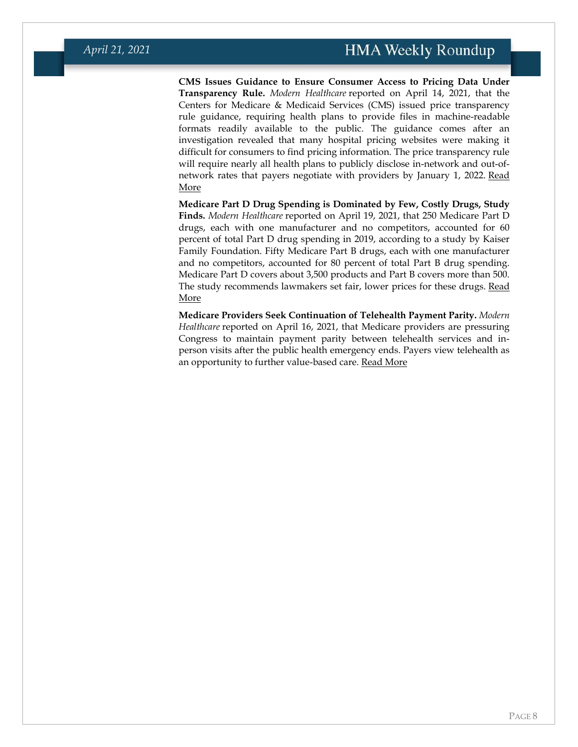**CMS Issues Guidance to Ensure Consumer Access to Pricing Data Under Transparency Rule.** *Modern Healthcare* reported on April 14, 2021, that the Centers for Medicare & Medicaid Services (CMS) issued price transparency rule guidance, requiring health plans to provide files in machine-readable formats readily available to the public. The guidance comes after an investigation revealed that many hospital pricing websites were making it difficult for consumers to find pricing information. The price transparency rule will require nearly all health plans to publicly disclose in-network and out-ofnetwork rates that payers negotiate with providers by January 1, 2022. Read [More](https://www.modernhealthcare.com/finance/cms-issues-new-guidance-enforce-price-transparency-rule)

**Medicare Part D Drug Spending is Dominated by Few, Costly Drugs, Study Finds.** *Modern Healthcare* reported on April 19, 2021, that 250 Medicare Part D drugs, each with one manufacturer and no competitors, accounted for 60 percent of total Part D drug spending in 2019, according to a study by Kaiser Family Foundation. Fifty Medicare Part B drugs, each with one manufacturer and no competitors, accounted for 80 percent of total Part B drug spending. Medicare Part D covers about 3,500 products and Part B covers more than 500. The study recommends lawmakers set fair, lower prices for these drugs. [Read](https://www.modernhealthcare.com/healthcare-economics/10-prescription-drugs-make-up-majority-medicare-drug-spending-study-finds)  [More](https://www.modernhealthcare.com/healthcare-economics/10-prescription-drugs-make-up-majority-medicare-drug-spending-study-finds)

**Medicare Providers Seek Continuation of Telehealth Payment Parity.** *Modern Healthcare* reported on April 16, 2021, that Medicare providers are pressuring Congress to maintain payment parity between telehealth services and inperson visits after the public health emergency ends. Payers view telehealth as an opportunity to further value-based care. [Read More](https://www.modernhealthcare.com/payment/payers-providers-clash-over-telehealth-reimbursement-congress-mulls-changes)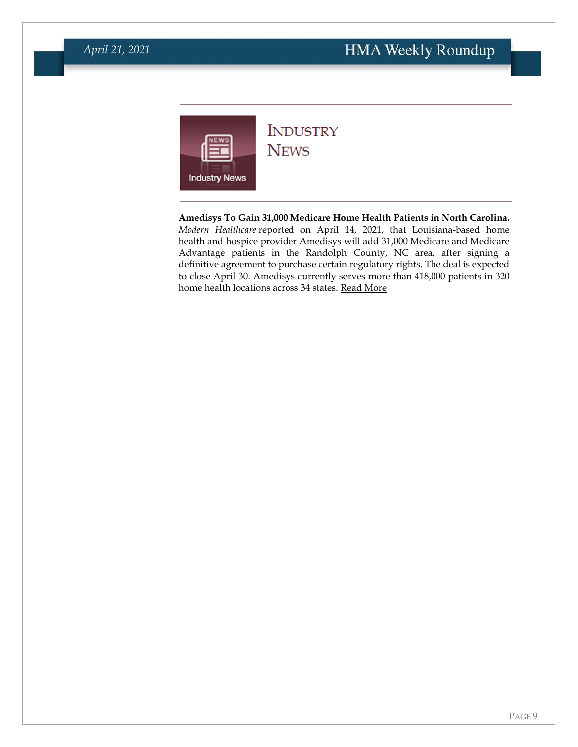<span id="page-8-0"></span>

### **INDUSTRY NEWS**

**Amedisys To Gain 31,000 Medicare Home Health Patients in North Carolina.**  *Modern Healthcare* reported on April 14, 2021, that Louisiana-based home health and hospice provider Amedisys will add 31,000 Medicare and Medicare Advantage patients in the Randolph County, NC area, after signing a definitive agreement to purchase certain regulatory rights. The deal is expected to close April 30. Amedisys currently serves more than 418,000 patients in 320 home health locations across 34 states. [Read More](https://www.modernhealthcare.com/post-acute-care/amedisys-expand-home-health-services-north-carolina)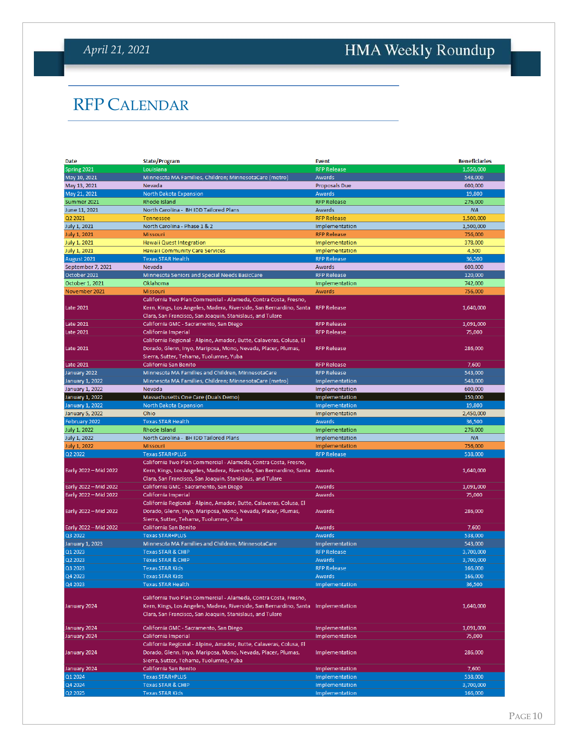# <span id="page-9-0"></span>HMA Weekly Roundup

# RFP CALENDAR

| Date                   | <b>State/Program</b>                                                              | <b>Event</b>         | <b>Beneficiaries</b> |
|------------------------|-----------------------------------------------------------------------------------|----------------------|----------------------|
| Spring 2021            | Louisiana                                                                         | <b>RFP Release</b>   | 1,550,000            |
| May 10, 2021           | Minnesota MA Families, Children; MinnesotaCare (metro)                            | Awards               | 548,000              |
| May 13, 2021           | Nevada                                                                            | <b>Proposals Due</b> | 600,000              |
| May 21, 2021           | North Dakota Expansion                                                            | <b>Awards</b>        | 19,800               |
| Summer 2021            | Rhode Island                                                                      | <b>RFP Release</b>   | 276,000              |
| June 11, 2021          | North Carolina - BH IDD Tailored Plans                                            | Awards               | <b>NA</b>            |
| Q2 2021                | <b>Tennessee</b>                                                                  | <b>RFP Release</b>   | 1,500,000            |
| July 1, 2021           | North Carolina - Phase 1 & 2                                                      | Implementation       | 1,500,000            |
| July 1, 2021           | <b>Missouri</b>                                                                   | <b>RFP Release</b>   | 756,000              |
| <b>July 1, 2021</b>    | <b>Hawaii Quest Integration</b>                                                   | Implementation       | 378,000              |
| <b>July 1, 2021</b>    | <b>Hawaii Community Care Services</b>                                             | Implementation       | 4,500                |
| August 2021            | <b>Texas STAR Health</b>                                                          | <b>RFP Release</b>   | 36,500               |
| September 7, 2021      | Nevada                                                                            | Awards               | 600,000              |
| October 2021           | Minnesota Seniors and Special Needs BasicCare                                     | <b>RFP Release</b>   | 120,000              |
|                        | Oklahoma                                                                          | Implementation       | 742,000              |
| October 1, 2021        |                                                                                   | Awards               |                      |
| November 2021          | <b>Missouri</b>                                                                   |                      | 756,000              |
|                        | California Two Plan Commercial - Alameda, Contra Costa, Fresno,                   |                      |                      |
| Late 2021              | Kern, Kings, Los Angeles, Madera, Riverside, San Bernardino, Santa                | <b>RFP Release</b>   | 1,640,000            |
|                        | Clara, San Francisco, San Joaquin, Stanislaus, and Tulare                         |                      |                      |
| Late 2021              | California GMC - Sacramento, San Diego                                            | <b>RFP Release</b>   | 1,091,000            |
| <b>Late 2021</b>       | California Imperial                                                               | <b>RFP Release</b>   | 75,000               |
|                        | California Regional - Alpine, Amador, Butte, Calaveras, Colusa, El                |                      |                      |
| Late 2021              | Dorado, Glenn, Inyo, Mariposa, Mono, Nevada, Placer, Plumas,                      | <b>RFP Release</b>   | 286,000              |
|                        | Sierra, Sutter, Tehama, Tuolumne, Yuba                                            |                      |                      |
| <b>Late 2021</b>       | California San Benito                                                             | <b>RFP Release</b>   | 7,600                |
| January 2022           | Minnesota MA Families and Children, MinnesotaCare                                 | <b>RFP Release</b>   | 543,000              |
| January 1, 2022        | Minnesota MA Families, Children; MinnesotaCare (metro)                            | Implementation       | 548,000              |
| <b>January 1, 2022</b> | Nevada                                                                            | Implementation       | 600,000              |
| January 1, 2022        | Massachusetts One Care (Duals Demo)                                               | Implementation       | 150,000              |
| January 1, 2022        | North Dakota Expansion                                                            | Implementation       | 19,800               |
| <b>January 5, 2022</b> | Ohio                                                                              | Implementation       | 2,450,000            |
| February 2022          | <b>Texas STAR Health</b>                                                          | Awards               | 36,500               |
| July 1, 2022           | Rhode Island                                                                      | Implementation       | 276,000              |
| July 1, 2022           | North Carolina - BH IDD Tailored Plans                                            | Implementation       | <b>NA</b>            |
| July 1, 2022           | <b>Missouri</b>                                                                   | Implementation       | 756.000              |
| Q2 2022                | <b>Texas STAR+PLUS</b>                                                            | <b>RFP Release</b>   | 538,000              |
|                        |                                                                                   |                      |                      |
|                        | California Two Plan Commercial - Alameda, Contra Costa, Fresno,                   |                      |                      |
| Early 2022 - Mid 2022  | Kern, Kings, Los Angeles, Madera, Riverside, San Bernardino, Santa Awards         |                      | 1,640,000            |
|                        | Clara, San Francisco, San Joaquin, Stanislaus, and Tulare                         |                      |                      |
| Early 2022 - Mid 2022  | California GMC - Sacramento, San Diego                                            | Awards               | 1,091,000            |
| Early 2022 - Mid 2022  | California Imperial                                                               | Awards               | 75,000               |
|                        | California Regional - Alpine, Amador, Butte, Calaveras, Colusa, El                |                      |                      |
| Early 2022 - Mid 2022  | Dorado, Glenn, Inyo, Mariposa, Mono, Nevada, Placer, Plumas,                      | Awards               | 286,000              |
|                        | Sierra, Sutter, Tehama, Tuolumne, Yuba                                            |                      |                      |
| Early 2022 - Mid 2022  | California San Benito                                                             | Awards               | 7,600                |
| Q3 2022                | <b>Texas STAR+PLUS</b>                                                            | Awards               | 538.000              |
| January 1, 2023        | Minnesota MA Families and Children, MinnesotaCare                                 | Implementation       | 543,000              |
| Q1 2023                | <b>Texas STAR &amp; CHIP</b>                                                      | <b>RFP Release</b>   | 3,700,000            |
| Q2 2023                | <b>Texas STAR &amp; CHIP</b>                                                      | Awards               | 3,700,000            |
| Q3 2023                | <b>Texas STAR Kids</b>                                                            | <b>RFP Release</b>   | 166,000              |
| Q4 2023                | <b>Texas STAR Kids</b>                                                            | Awards               | 166,000              |
| Q4 2023                | <b>Texas STAR Health</b>                                                          | Implementation       | 36,500               |
|                        |                                                                                   |                      |                      |
|                        | California Two Plan Commercial - Alameda, Contra Costa, Fresno,                   |                      |                      |
| January 2024           | Kern, Kings, Los Angeles, Madera, Riverside, San Bernardino, Santa Implementation |                      | 1,640,000            |
|                        | Clara, San Francisco, San Joaquin, Stanislaus, and Tulare                         |                      |                      |
|                        |                                                                                   |                      |                      |
| January 2024           | California GMC - Sacramento, San Diego                                            | Implementation       | 1,091,000            |
| January 2024           | California Imperial                                                               | Implementation       | 75,000               |
|                        | California Regional - Alpine, Amador, Butte, Calaveras, Colusa, El                |                      |                      |
| January 2024           | Dorado, Glenn, Inyo, Mariposa, Mono, Nevada, Placer, Plumas,                      | Implementation       | 286,000              |
|                        | Sierra, Sutter, Tehama, Tuolumne, Yuba                                            |                      |                      |
| January 2024           | California San Benito                                                             | Implementation       | 7,600                |
| Q1 2024                | <b>Texas STAR+PLUS</b>                                                            | Implementation       | 538,000              |
| Q4 2024                | <b>Texas STAR &amp; CHIP</b>                                                      | Implementation       | 3,700,000            |
| Q2 2025                | <b>Texas STAR Kids</b>                                                            | Implementation       | 166,000              |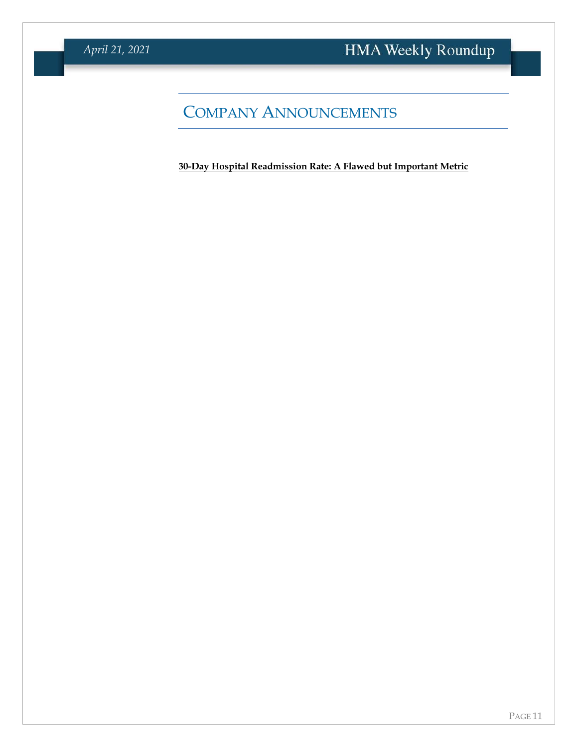# COMPANY ANNOUNCEMENTS

**[30-Day Hospital Readmission Rate: A Flawed but Important Metric](https://info.mcg.com/white-paper-30-day-readmission-rate.html?utm_medium=membership&utm_source=hma&utm_campaign=wp-2021-readmission-rate)**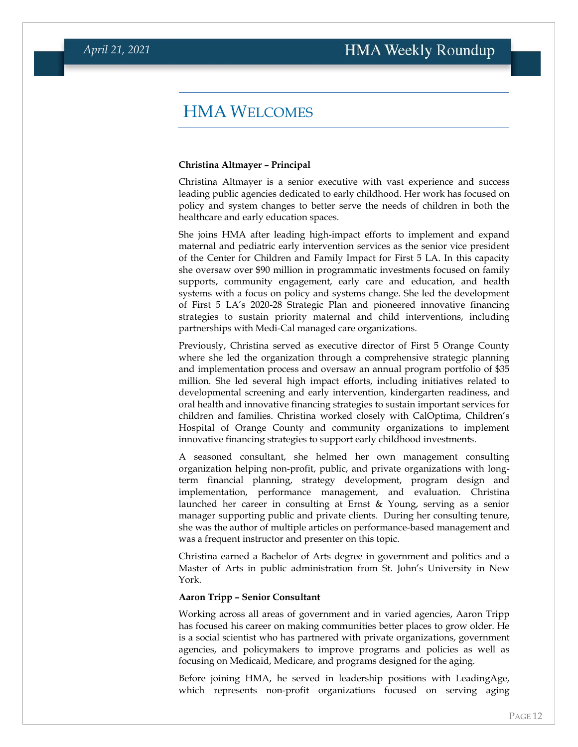### HMA WELCOMES

#### <span id="page-11-0"></span>**Christina Altmayer – Principal**

Christina Altmayer is a senior executive with vast experience and success leading public agencies dedicated to early childhood. Her work has focused on policy and system changes to better serve the needs of children in both the healthcare and early education spaces.

She joins HMA after leading high-impact efforts to implement and expand maternal and pediatric early intervention services as the senior vice president of the Center for Children and Family Impact for First 5 LA. In this capacity she oversaw over \$90 million in programmatic investments focused on family supports, community engagement, early care and education, and health systems with a focus on policy and systems change. She led the development of First 5 LA's 2020-28 Strategic Plan and pioneered innovative financing strategies to sustain priority maternal and child interventions, including partnerships with Medi-Cal managed care organizations.

Previously, Christina served as executive director of First 5 Orange County where she led the organization through a comprehensive strategic planning and implementation process and oversaw an annual program portfolio of \$35 million. She led several high impact efforts, including initiatives related to developmental screening and early intervention, kindergarten readiness, and oral health and innovative financing strategies to sustain important services for children and families. Christina worked closely with CalOptima, Children's Hospital of Orange County and community organizations to implement innovative financing strategies to support early childhood investments.

A seasoned consultant, she helmed her own management consulting organization helping non-profit, public, and private organizations with longterm financial planning, strategy development, program design and implementation, performance management, and evaluation. Christina launched her career in consulting at Ernst & Young, serving as a senior manager supporting public and private clients. During her consulting tenure, she was the author of multiple articles on performance-based management and was a frequent instructor and presenter on this topic.

Christina earned a Bachelor of Arts degree in government and politics and a Master of Arts in public administration from St. John's University in New York.

#### **Aaron Tripp – Senior Consultant**

Working across all areas of government and in varied agencies, Aaron Tripp has focused his career on making communities better places to grow older. He is a social scientist who has partnered with private organizations, government agencies, and policymakers to improve programs and policies as well as focusing on Medicaid, Medicare, and programs designed for the aging.

Before joining HMA, he served in leadership positions with LeadingAge, which represents non-profit organizations focused on serving aging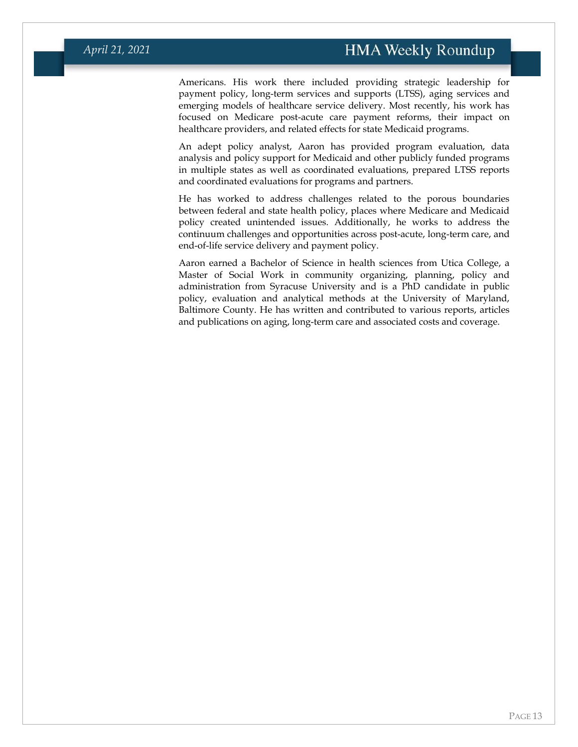Americans. His work there included providing strategic leadership for payment policy, long-term services and supports (LTSS), aging services and emerging models of healthcare service delivery. Most recently, his work has focused on Medicare post-acute care payment reforms, their impact on healthcare providers, and related effects for state Medicaid programs.

An adept policy analyst, Aaron has provided program evaluation, data analysis and policy support for Medicaid and other publicly funded programs in multiple states as well as coordinated evaluations, prepared LTSS reports and coordinated evaluations for programs and partners.

He has worked to address challenges related to the porous boundaries between federal and state health policy, places where Medicare and Medicaid policy created unintended issues. Additionally, he works to address the continuum challenges and opportunities across post-acute, long-term care, and end-of-life service delivery and payment policy.

Aaron earned a Bachelor of Science in health sciences from Utica College, a Master of Social Work in community organizing, planning, policy and administration from Syracuse University and is a PhD candidate in public policy, evaluation and analytical methods at the University of Maryland, Baltimore County. He has written and contributed to various reports, articles and publications on aging, long-term care and associated costs and coverage.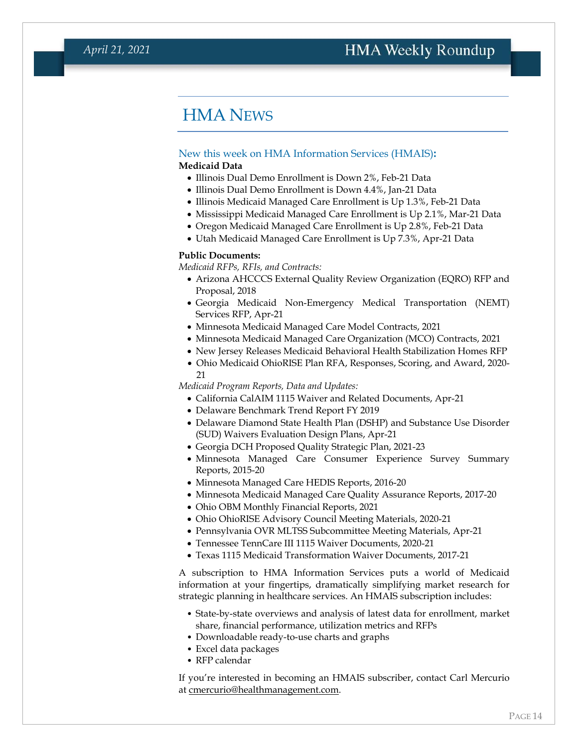# HMA NEWS

### <span id="page-13-0"></span>New this week on HMA Information Services (HMAIS)**:**

### **Medicaid Data**

- Illinois Dual Demo Enrollment is Down 2%, Feb-21 Data
- Illinois Dual Demo Enrollment is Down 4.4%, Jan-21 Data
- Illinois Medicaid Managed Care Enrollment is Up 1.3%, Feb-21 Data
- Mississippi Medicaid Managed Care Enrollment is Up 2.1%, Mar-21 Data
- Oregon Medicaid Managed Care Enrollment is Up 2.8%, Feb-21 Data
- Utah Medicaid Managed Care Enrollment is Up 7.3%, Apr-21 Data

#### **Public Documents:**

*Medicaid RFPs, RFIs, and Contracts:*

- Arizona AHCCCS External Quality Review Organization (EQRO) RFP and Proposal, 2018
- Georgia Medicaid Non-Emergency Medical Transportation (NEMT) Services RFP, Apr-21
- Minnesota Medicaid Managed Care Model Contracts, 2021
- Minnesota Medicaid Managed Care Organization (MCO) Contracts, 2021
- New Jersey Releases Medicaid Behavioral Health Stabilization Homes RFP
- Ohio Medicaid OhioRISE Plan RFA, Responses, Scoring, and Award, 2020- 21

#### *Medicaid Program Reports, Data and Updates:*

- California CalAIM 1115 Waiver and Related Documents, Apr-21
- Delaware Benchmark Trend Report FY 2019
- Delaware Diamond State Health Plan (DSHP) and Substance Use Disorder (SUD) Waivers Evaluation Design Plans, Apr-21
- Georgia DCH Proposed Quality Strategic Plan, 2021-23
- Minnesota Managed Care Consumer Experience Survey Summary Reports, 2015-20
- Minnesota Managed Care HEDIS Reports, 2016-20
- Minnesota Medicaid Managed Care Quality Assurance Reports, 2017-20
- Ohio OBM Monthly Financial Reports, 2021
- Ohio OhioRISE Advisory Council Meeting Materials, 2020-21
- Pennsylvania OVR MLTSS Subcommittee Meeting Materials, Apr-21
- Tennessee TennCare III 1115 Waiver Documents, 2020-21
- Texas 1115 Medicaid Transformation Waiver Documents, 2017-21

A subscription to HMA Information Services puts a world of Medicaid information at your fingertips, dramatically simplifying market research for strategic planning in healthcare services. An HMAIS subscription includes:

- State-by-state overviews and analysis of latest data for enrollment, market share, financial performance, utilization metrics and RFPs
- Downloadable ready-to-use charts and graphs
- Excel data packages
- RFP calendar

If you're interested in becoming an HMAIS subscriber, contact Carl Mercurio at [cmercurio@healthmanagement.com.](mailto:cmercurio@healthmanagement.com)